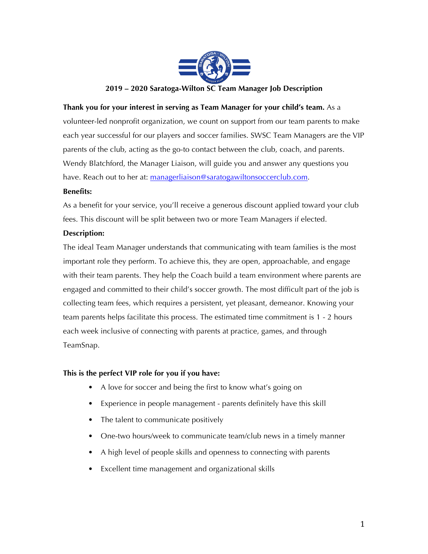

## **Thank you for your interest in serving as Team Manager for your child's team.** As a

volunteer-led nonprofit organization, we count on support from our team parents to make each year successful for our players and soccer families. SWSC Team Managers are the VIP parents of the club, acting as the go-to contact between the club, coach, and parents. Wendy Blatchford, the Manager Liaison, will guide you and answer any questions you have. Reach out to her at: managerliaison@saratogawiltonsoccerclub.com.

## **Benefits:**

As a benefit for your service, you'll receive a generous discount applied toward your club fees. This discount will be split between two or more Team Managers if elected.

## **Description:**

The ideal Team Manager understands that communicating with team families is the most important role they perform. To achieve this, they are open, approachable, and engage with their team parents. They help the Coach build a team environment where parents are engaged and committed to their child's soccer growth. The most difficult part of the job is collecting team fees, which requires a persistent, yet pleasant, demeanor. Knowing your team parents helps facilitate this process. The estimated time commitment is 1 - 2 hours each week inclusive of connecting with parents at practice, games, and through TeamSnap.

# **This is the perfect VIP role for you if you have:**

- A love for soccer and being the first to know what's going on
- Experience in people management parents definitely have this skill
- The talent to communicate positively
- One-two hours/week to communicate team/club news in a timely manner
- A high level of people skills and openness to connecting with parents
- Excellent time management and organizational skills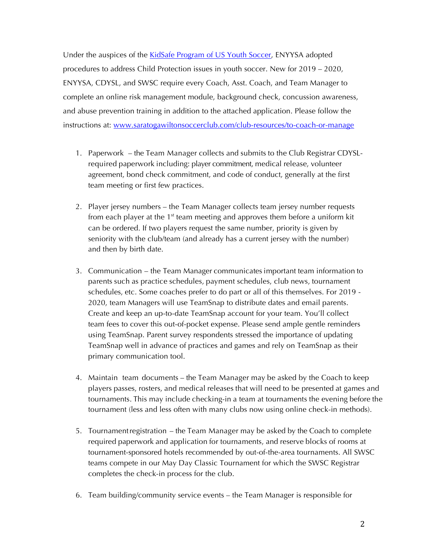Under the auspices of the KidSafe Program of US Youth Soccer, ENYYSA adopted procedures to address Child Protection issues in youth soccer. New for 2019 – 2020, ENYYSA, CDYSL, and SWSC require every Coach, Asst. Coach, and Team Manager to complete an online risk management module, background check, concussion awareness, and abuse prevention training in addition to the attached application. Please follow the instructions at: www.saratogawiltonsoccerclub.com/club-resources/to-coach-or-manage

- 1. Paperwork the Team Manager collects and submits to the Club Registrar CDYSLrequired paperwork including: player commitment, medical release, volunteer agreement, bond check commitment, and code of conduct, generally at the first team meeting or first few practices.
- 2. Player jersey numbers the Team Manager collects team jersey number requests from each player at the  $1<sup>st</sup>$  team meeting and approves them before a uniform kit can be ordered. If two players request the same number, priority is given by seniority with the club/team (and already has a current jersey with the number) and then by birth date.
- 3. Communication the Team Manager communicates important team information to parents such as practice schedules, payment schedules, club news, tournament schedules, etc. Some coaches prefer to do part or all of this themselves. For 2019 - 2020, team Managers will use TeamSnap to distribute dates and email parents. Create and keep an up-to-date TeamSnap account for your team. You'll collect team fees to cover this out-of-pocket expense. Please send ample gentle reminders using TeamSnap. Parent survey respondents stressed the importance of updating TeamSnap well in advance of practices and games and rely on TeamSnap as their primary communication tool.
- 4. Maintain team documents the Team Manager may be asked by the Coach to keep players passes, rosters, and medical releases that will need to be presented at games and tournaments. This may include checking-in a team at tournaments the evening before the tournament (less and less often with many clubs now using online check-in methods).
- 5. Tournamentregistration the Team Manager may be asked by the Coach to complete required paperwork and application for tournaments, and reserve blocks of rooms at tournament-sponsored hotels recommended by out-of-the-area tournaments. All SWSC teams compete in our May Day Classic Tournament for which the SWSC Registrar completes the check-in process for the club.
- 6. Team building/community service events the Team Manager is responsible for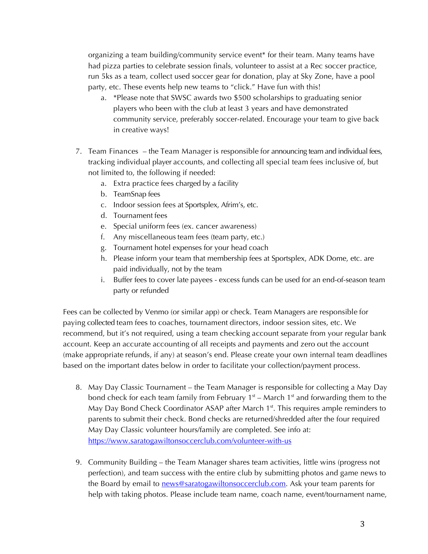organizing a team building/community service event\* for their team. Many teams have had pizza parties to celebrate session finals, volunteer to assist at a Rec soccer practice, run 5ks as a team, collect used soccer gear for donation, play at Sky Zone, have a pool party, etc. These events help new teams to "click." Have fun with this!

- a. \*Please note that SWSC awards two \$500 scholarships to graduating senior players who been with the club at least 3 years and have demonstrated community service, preferably soccer-related. Encourage your team to give back in creative ways!
- 7. Team Finances the Team Manager is responsible for announcing team and individual fees, tracking individual player accounts, and collecting all special team fees inclusive of, but not limited to, the following if needed:
	- a. Extra practice fees charged by a facility
	- b. TeamSnap fees
	- c. Indoor session fees at Sportsplex, Afrim's, etc.
	- d. Tournament fees
	- e. Special uniform fees (ex. cancer awareness)
	- f. Any miscellaneous team fees (team party, etc.)
	- g. Tournament hotel expenses for your head coach
	- h. Please inform your team that membership fees at Sportsplex, ADK Dome, etc. are paid individually, not by the team
	- i. Buffer fees to cover late payees excess funds can be used for an end-of-season team party or refunded

Fees can be collected by Venmo (or similar app) or check. Team Managers are responsible for paying collected team fees to coaches, tournament directors, indoor session sites, etc. We recommend, but it's not required, using a team checking account separate from your regular bank account. Keep an accurate accounting of all receipts and payments and zero out the account (make appropriate refunds, if any) at season's end. Please create your own internal team deadlines based on the important dates below in order to facilitate your collection/payment process.

- 8. May Day Classic Tournament the Team Manager is responsible for collecting a May Day bond check for each team family from February  $1<sup>st</sup>$  – March  $1<sup>st</sup>$  and forwarding them to the May Day Bond Check Coordinator ASAP after March  $1<sup>st</sup>$ . This requires ample reminders to parents to submit their check. Bond checks are returned/shredded after the four required May Day Classic volunteer hours/family are completed. See info at: https://www.saratogawiltonsoccerclub.com/volunteer-with-us
- 9. Community Building the Team Manager shares team activities, little wins (progress not perfection), and team success with the entire club by submitting photos and game news to the Board by email to **news@saratogawiltonsoccerclub.com**. Ask your team parents for help with taking photos. Please include team name, coach name, event/tournament name,